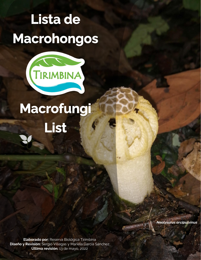# Lista de Macrohongos



# Macrofungi List

*Neolysurus arcipulvinus*

**Elaborado por:** Reserva Biológica Tirimbina **Diseño y Revisión:** Sergio Villegas y Mariela García Sánchez **Última revisión:** 13 de mayo, 2022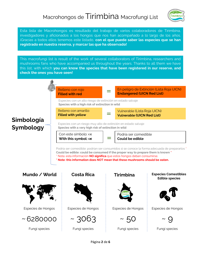

Esta lista de Macrohongos es resultado del trabajo de varios colaboradores de Tirimbina, investigadores y aficionados a los hongos que nos han acompañado a lo largo de los años. ¡Gracias a todos ellos tenemos este listado, **con el que puede saber las especies que se han registrado en nuestra reserva, y marcar las que ha observado!**

This macrofungi list is result of the work of several collaborators of Tirimbina, researchers and mushrooms fans who have accompanied us throughout the years. Thanks to all them we have this list, with which **you can know the species that have been registered in our reserve, and check the ones you have seen!**

### Relleno con rojo **Filled with red**

= En peligro de Extinción (Lista Roja UICN) **Endangered (UICN Red List)**

Especies con un alto riesgo de extinción en estado salvaje **Species with a high risk of extinction in wild**

Relleno con amarillo **Filled with yellow** =



## **Simbología Symbology**

Especies con un riesgo muy alto de extinción en estado salvaje **Species with a very high risk of extinction in wild**

Con este símbolo: ca With this symbol:  $\alpha$   $\equiv$  Podría ser comestible **Could be edible**

Podría ser comestible: podrían ser consumidos si se conoce la forma adecuada de prepararlos \* **Could be edible: could be consumed if the proper way to prepare them is known \*** \* Nota: esta información **NO significa** que estos hongos deban consumirse. **\* Note: this information does NOT mean that these mushrooms should be eaten.**

### **Mundo / World**



Especies de Hongos



Fungi species





Especies de Hongos



Fungi species





Especies de Hongos



Fungi species

#### **Costa Rica Tirimbina Especies Comestibles Edible species**



Especies de Hongos



Fungi species

Página **2** de **6**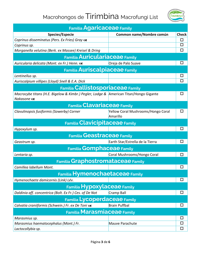

| <b>Familia Agaricaceae Family</b>                                                                    |                                                |              |  |
|------------------------------------------------------------------------------------------------------|------------------------------------------------|--------------|--|
| <b>Species/Especie</b>                                                                               | Common name/Nombre común                       | <b>Check</b> |  |
| Coprinus disseminatus (Pers. Ex Fries) Gray os                                                       |                                                | п            |  |
| Coprinus sp.                                                                                         |                                                | ΙI           |  |
| Morganella velutina (Berk. ex Massee) Kreisel & Dring                                                |                                                | □            |  |
| <b>Familia Auriculariaceae Family</b>                                                                |                                                |              |  |
| Auricularia delicata (Mont. ex Fr.) Henn. cs                                                         | Oreja de Palo Suave                            | П            |  |
| <b>Familia Auriscalpiaceae Family</b>                                                                |                                                |              |  |
| Lentinellus sp.                                                                                      |                                                | ⊔            |  |
| Auriscalpium villipes (Lloyd) Snell & E.A. Dick                                                      |                                                | П            |  |
| <b>Familia Callistosporiaceae Family</b>                                                             |                                                |              |  |
| Macrocybe titans (H.E. Bigelow & Kimbr.) Pegler, Lodge & American Titan/Hongo Gigante<br>Nakasone cs |                                                | ப            |  |
| <b>Familia Clavariaceae Family</b>                                                                   |                                                |              |  |
| Clavulinopsis fusiformis (Sowerby) Corner                                                            | Yellow Coral Mushrooms/Hongo Coral<br>Amarillo | H            |  |
| <b>Familia Clavicipitaceae Family</b>                                                                |                                                |              |  |
| Hypoxylum sp.                                                                                        |                                                | П            |  |
| <b>Familia Geastraceae Family</b>                                                                    |                                                |              |  |
| Geastrum sp.                                                                                         | Earth Star/Estrella de la Tierra               | ΙI           |  |
| <b>Familia Gomphaceae Family</b>                                                                     |                                                |              |  |
| Lentaria sp.                                                                                         | Coral Mushrooms/Hongo Coral                    | П            |  |
| <b>Familia Graphostromataceae Family</b>                                                             |                                                |              |  |
| Camillea labellum Mont.                                                                              |                                                | ΙI           |  |
| Familia Hymenochaetaceae Family                                                                      |                                                |              |  |
| Hymenochaete damicornis (Link) Lév.                                                                  |                                                | $\Box$       |  |
| <b>Familia Hypoxylaceae Family</b>                                                                   |                                                |              |  |
| Daldinia aff. concentrica (Bolt. Ex Fr.) Ces. of De Not                                              | Cramp Ball                                     | $\Box$       |  |
| <b>Familia Lycoperdaceae Family</b>                                                                  |                                                |              |  |
| Calvatia craniiformis (Schwein.) Fr. ex De Toni os                                                   | <b>Brain Puffbal</b>                           | $\Box$       |  |
| <b>Familia Marasmiaceae Family</b>                                                                   |                                                |              |  |
| Marasmius sp.                                                                                        |                                                | □            |  |
| Marasmius haematocephalus (Mont.) Fr.                                                                | Mauve Parachute                                | □            |  |
| Lactocollybia sp.                                                                                    |                                                | $\Box$       |  |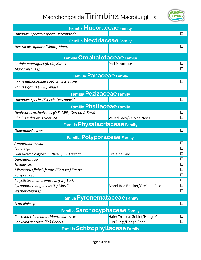

| <b>Familia MUCOraceae Family</b>                    |                                  |        |  |
|-----------------------------------------------------|----------------------------------|--------|--|
| Unknown Species/Especie Desconocida                 |                                  | П      |  |
| <b>Familia Nectriaceae Family</b>                   |                                  |        |  |
| Nectria discophora (Mont.) Mont.                    |                                  | □      |  |
| <b>Familia Omphalotaceae Family</b>                 |                                  |        |  |
| Caripia montagnei (Berk.) Kuntze                    | Pod Parachute                    |        |  |
| Marasmiellus sp                                     |                                  | $\Box$ |  |
| <b>Familia Panaceae Family</b>                      |                                  |        |  |
| Panus infundibulum Berk. & M.A. Curtis              |                                  | ப      |  |
| Panus tigrinus (Bull.) Singer                       |                                  |        |  |
| <b>Familia Pezizaceae Family</b>                    |                                  |        |  |
| Unknown Species/Especie Desconocida                 |                                  | □      |  |
| <b>Familia Phallaceae Family</b>                    |                                  |        |  |
| Neolysurus arcipulvinus (O.K. Mill., Ovrebo & Burk) |                                  | □      |  |
| Phallus indusiatus Vent. cs                         | Veiled Lady/Velo de Novia        | П      |  |
| <b>Familia Physalacriaceae Family</b>               |                                  |        |  |
|                                                     |                                  |        |  |
| Oudemansiella sp                                    |                                  | П      |  |
| <b>Familia Polyporaceae Family</b>                  |                                  |        |  |
| Amauroderma sp.                                     |                                  | □      |  |
| Fomes sp.                                           |                                  | ப      |  |
| Ganoderma coffeatum (Berk.) J.S. Furtado            | Oreja de Palo                    | $\Box$ |  |
| Ganoderma sp                                        |                                  | □      |  |
| Favolus sp.                                         |                                  | ΙI     |  |
| Microporus flabelliformis (Klotzsch) Kuntze         |                                  | □      |  |
| Polyporus sp.                                       |                                  | $\Box$ |  |
| Polystictus membranaceus (Lw.) Berlz                |                                  | □      |  |
| Pycnoporus sanguineus (L.) Murrill                  | Blood-Red Bracket/Oreja de Palo  | □      |  |
| Stecherichium sp.                                   |                                  | □      |  |
| <b>Familia Pyronemataceae Family</b>                |                                  |        |  |
| Scutellinia sp.                                     |                                  | ◻      |  |
| <b>Familia Sarchocyphaceae Family</b>               |                                  |        |  |
| Cookeina tricholoma (Mont.) Kuntze os               | Hairy Tropical Goblet/Hongo Copa | □      |  |
| Cookeina speciosa (Fr.) Dennis                      | Cup Fungi/Hongo Copa             | □      |  |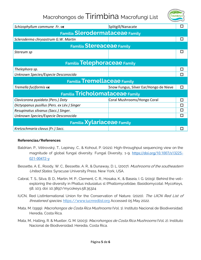

| Schizophyllum commune Fr. cs                | Splitgill/Nanacate                     | П |  |
|---------------------------------------------|----------------------------------------|---|--|
| <b>Familia Slerodermataceae Family</b>      |                                        |   |  |
| Scleroderma chrysastrum G.W. Martin         |                                        | □ |  |
| <b>Familia Stereaceae Family</b>            |                                        |   |  |
| Stereum sp                                  |                                        | П |  |
| <b>Familia Telephoraceae Family</b>         |                                        |   |  |
| Thelephora sp.                              |                                        | П |  |
| Unknown Species/Especie Desconocida         |                                        | П |  |
| <b>Familia Tremellaceae Family</b>          |                                        |   |  |
| Tremella fuciformis cs                      | Snow Fungus, Silver Ear/Hongo de Nieve | П |  |
| <b>Familia Tricholomataceae Family</b>      |                                        |   |  |
| Clavicorona pyxidata (Pers.) Doty           | Coral Mushrooms/Hongo Coral            | П |  |
| Dictyopanus pusillus (Pers. ex Lév.) Singer |                                        | П |  |
| Resupinatus silvanus (Sacc.) Singer.        |                                        | П |  |
| Unknown Species/Especie Desconocida         |                                        | П |  |
| <b>Familia Xylariaceae Family</b>           |                                        |   |  |
| Kretzschmaria clavus (Fr.) Sacc.            |                                        | П |  |

#### **Referencias/References**

- Baldrian, P., Větrovský, T., Lepinay, C., & Kohout, P. (2021). High-throughput sequencing view on the magnitude of global fungal diversity. Fungal Diversity, 1-9. [https://doi.org/10.1007/s13225-](https://doi.org/10.1007/s13225-021-00472-y) [021-00472-y](https://doi.org/10.1007/s13225-021-00472-y)
- Bessette, A. E., Roody, W. C., Bessette, A. R., & Dunaway, D. L. (2007). Mushrooms of the southeastern United States. Syracuse University Press. New York, USA.
- Cabral, T. S., Silva, B. D., Martín, M. P., Clement, C. R., Hosaka, K., & Baseia, I. G. (2019). Behind the veil– exploring the diversity in Phallus indusiatus sl (Phallomycetidae, Basidiomycota). MycoKeys, 58, 103. doi: 10.3897/mycokeys.58.35324
- IUCN, Red ListInternational Union for the Conservation of Nature. (2020). The UICN Red List of threatened species. [https://www.iucnredlist.org](https://www.iucnredlist.org/) Accessed 05 May 2022.
- Mata, M. (1999). Macrohongos de Costa Rica Mushrooms (Vol. 1). Instituto Nacional de Biodiversidad. Heredia, Costa Rica.
- Mata, M., Halling, R. & Mueller, G. M. (2003). Macrohongos de Costa Rica Mushrooms (Vol. 2). Instituto Nacional de Biodiversidad. Heredia, Costa Rica.